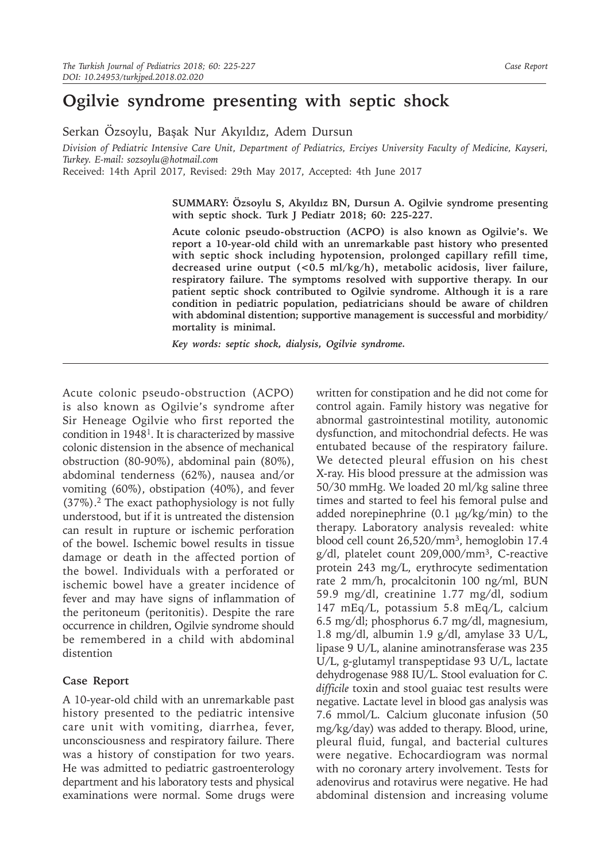## **Ogilvie syndrome presenting with septic shock**

Serkan Özsoylu, Başak Nur Akyıldız, Adem Dursun

*Division of Pediatric Intensive Care Unit, Department of Pediatrics, Erciyes University Faculty of Medicine, Kayseri, Turkey. E-mail: sozsoylu@hotmail.com*

Received: 14th April 2017, Revised: 29th May 2017, Accepted: 4th June 2017

**SUMMARY: Özsoylu S, Akyıldız BN, Dursun A. Ogilvie syndrome presenting with septic shock. Turk J Pediatr 2018; 60: 225-227.**

**Acute colonic pseudo-obstruction (ACPO) is also known as Ogilvie's. We report a 10-year-old child with an unremarkable past history who presented with septic shock including hypotension, prolonged capillary refill time, decreased urine output (<0.5 ml/kg/h), metabolic acidosis, liver failure, respiratory failure. The symptoms resolved with supportive therapy. In our patient septic shock contributed to Ogilvie syndrome. Although it is a rare condition in pediatric population, pediatricians should be aware of children with abdominal distention; supportive management is successful and morbidity/ mortality is minimal.** 

*Key words: septic shock, dialysis, Ogilvie syndrome.*

Acute colonic pseudo-obstruction (ACPO) is also known as Ogilvie's syndrome after Sir Heneage Ogilvie who first reported the condition in 19481. It is characterized by massive colonic distension in the absence of mechanical obstruction (80-90%), abdominal pain (80%), abdominal tenderness (62%), nausea and/or vomiting (60%), obstipation (40%), and fever (37%).2 The exact pathophysiology is not fully understood, but if it is untreated the distension can result in rupture or ischemic perforation of the bowel. Ischemic bowel results in tissue damage or death in the affected portion of the bowel. Individuals with a perforated or ischemic bowel have a greater incidence of fever and may have signs of inflammation of the peritoneum (peritonitis). Despite the rare occurrence in children, Ogilvie syndrome should be remembered in a child with abdominal distention

## **Case Report**

A 10-year-old child with an unremarkable past history presented to the pediatric intensive care unit with vomiting, diarrhea, fever, unconsciousness and respiratory failure. There was a history of constipation for two years. He was admitted to pediatric gastroenterology department and his laboratory tests and physical examinations were normal. Some drugs were

written for constipation and he did not come for control again. Family history was negative for abnormal gastrointestinal motility, autonomic dysfunction, and mitochondrial defects. He was entubated because of the respiratory failure. We detected pleural effusion on his chest X-ray. His blood pressure at the admission was 50/30 mmHg. We loaded 20 ml/kg saline three times and started to feel his femoral pulse and added norepinephrine  $(0.1 \mu g/kg/min)$  to the therapy. Laboratory analysis revealed: white blood cell count 26,520/mm3, hemoglobin 17.4 g/dl, platelet count 209,000/mm3, C-reactive protein 243 mg/L, erythrocyte sedimentation rate 2 mm/h, procalcitonin 100 ng/ml, BUN 59.9 mg/dl, creatinine 1.77 mg/dl, sodium 147 mEq/L, potassium 5.8 mEq/L, calcium 6.5 mg/dl; phosphorus 6.7 mg/dl, magnesium, 1.8 mg/dl, albumin 1.9 g/dl, amylase 33 U/L, lipase 9 U/L, alanine aminotransferase was 235 U/L, g-glutamyl transpeptidase 93 U/L, lactate dehydrogenase 988 IU/L. Stool evaluation for *C. difficile* toxin and stool guaiac test results were negative. Lactate level in blood gas analysis was 7.6 mmol/L. Calcium gluconate infusion (50 mg/kg/day) was added to therapy. Blood, urine, pleural fluid, fungal, and bacterial cultures were negative. Echocardiogram was normal with no coronary artery involvement. Tests for adenovirus and rotavirus were negative. He had abdominal distension and increasing volume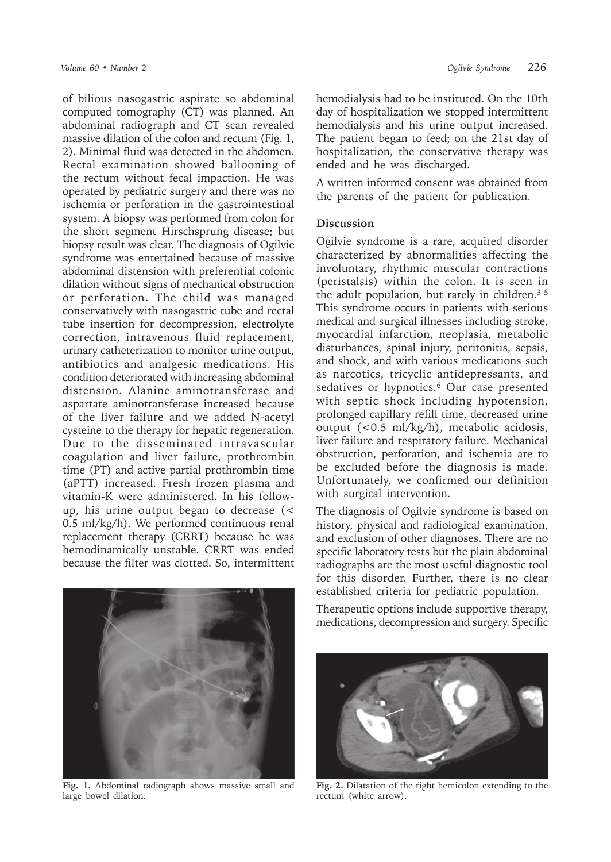of bilious nasogastric aspirate so abdominal computed tomography (CT) was planned. An abdominal radiograph and CT scan revealed massive dilation of the colon and rectum (Fig. 1, 2). Minimal fluid was detected in the abdomen. Rectal examination showed ballooning of the rectum without fecal impaction. He was operated by pediatric surgery and there was no ischemia or perforation in the gastrointestinal system. A biopsy was performed from colon for the short segment Hirschsprung disease; but biopsy result was clear. The diagnosis of Ogilvie syndrome was entertained because of massive abdominal distension with preferential colonic dilation without signs of mechanical obstruction or perforation. The child was managed conservatively with nasogastric tube and rectal tube insertion for decompression, electrolyte correction, intravenous fluid replacement, urinary catheterization to monitor urine output, antibiotics and analgesic medications. His condition deteriorated with increasing abdominal distension. Alanine aminotransferase and aspartate aminotransferase increased because of the liver failure and we added N-acetyl cysteine to the therapy for hepatic regeneration. Due to the disseminated intravascular coagulation and liver failure, prothrombin time (PT) and active partial prothrombin time (aPTT) increased. Fresh frozen plasma and vitamin-K were administered. In his followup, his urine output began to decrease (< 0.5 ml/kg/h). We performed continuous renal replacement therapy (CRRT) because he was hemodinamically unstable. CRRT was ended because the filter was clotted. So, intermittent



**Fig. 1.** Abdominal radiograph shows massive small and large bowel dilation.

hemodialysis had to be instituted. On the 10th day of hospitalization we stopped intermittent hemodialysis and his urine output increased. The patient began to feed; on the 21st day of hospitalization, the conservative therapy was ended and he was discharged.

A written informed consent was obtained from the parents of the patient for publication.

## **Discussion**

Ogilvie syndrome is a rare, acquired disorder characterized by abnormalities affecting the involuntary, rhythmic muscular contractions (peristalsis) within the colon. It is seen in the adult population, but rarely in children.<sup>3-5</sup> This syndrome occurs in patients with serious medical and surgical illnesses including stroke, myocardial infarction, neoplasia, metabolic disturbances, spinal injury, peritonitis, sepsis, and shock, and with various medications such as narcotics, tricyclic antidepressants, and sedatives or hypnotics.<sup>6</sup> Our case presented with septic shock including hypotension, prolonged capillary refill time, decreased urine output (<0.5 ml/kg/h), metabolic acidosis, liver failure and respiratory failure. Mechanical obstruction, perforation, and ischemia are to be excluded before the diagnosis is made. Unfortunately, we confirmed our definition with surgical intervention.

The diagnosis of Ogilvie syndrome is based on history, physical and radiological examination, and exclusion of other diagnoses. There are no specific laboratory tests but the plain abdominal radiographs are the most useful diagnostic tool for this disorder. Further, there is no clear established criteria for pediatric population.

Therapeutic options include supportive therapy, medications, decompression and surgery. Specific



**Fig. 2.** Dilatation of the right hemicolon extending to the rectum (white arrow).